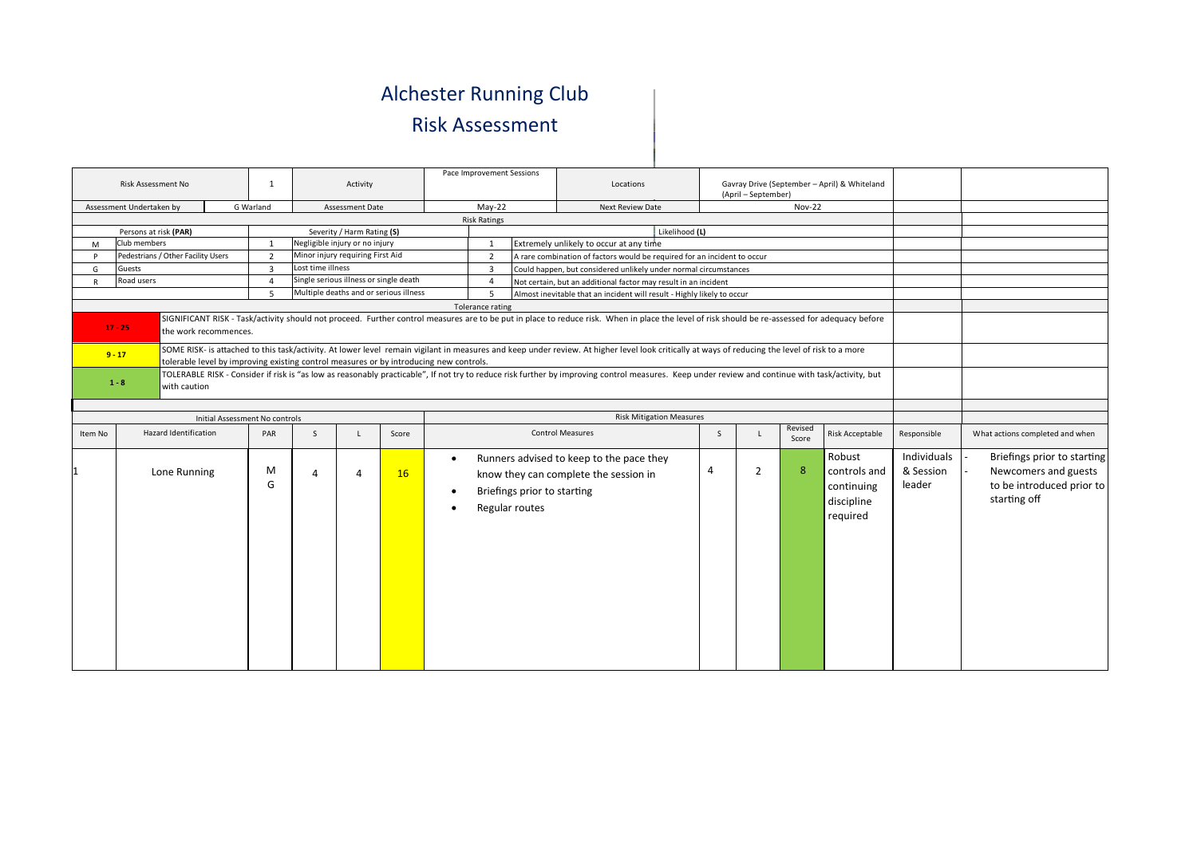## Alchester Running Club Risk Assessment

| Risk Assessment No                                       |                                                                                                                                                                                                                             | 1                              |                   | Activity                         |                                        | Pace Improvement Sessions                     |                                               | Locations                                                                                                                                                                                       |              | Gavray Drive (September - April) & Whiteland<br>(April - September) |                  |                                                                |                                    |                                                                                                  |
|----------------------------------------------------------|-----------------------------------------------------------------------------------------------------------------------------------------------------------------------------------------------------------------------------|--------------------------------|-------------------|----------------------------------|----------------------------------------|-----------------------------------------------|-----------------------------------------------|-------------------------------------------------------------------------------------------------------------------------------------------------------------------------------------------------|--------------|---------------------------------------------------------------------|------------------|----------------------------------------------------------------|------------------------------------|--------------------------------------------------------------------------------------------------|
| G Warland<br>Assessment Undertaken by<br>Assessment Date |                                                                                                                                                                                                                             |                                |                   |                                  |                                        | <b>Nov-22</b><br>$May-22$<br>Next Review Date |                                               |                                                                                                                                                                                                 |              |                                                                     |                  |                                                                |                                    |                                                                                                  |
|                                                          |                                                                                                                                                                                                                             |                                |                   |                                  |                                        |                                               | <b>Risk Ratings</b>                           |                                                                                                                                                                                                 |              |                                                                     |                  |                                                                |                                    |                                                                                                  |
| Persons at risk (PAR)<br>Severity / Harm Rating (S)      |                                                                                                                                                                                                                             |                                |                   |                                  |                                        |                                               |                                               | Likelihood (L)                                                                                                                                                                                  |              |                                                                     |                  |                                                                |                                    |                                                                                                  |
| M                                                        | Club members                                                                                                                                                                                                                | $\mathbf{1}$                   |                   | Negligible injury or no injury   |                                        |                                               | Extremely unlikely to occur at any time<br>1  |                                                                                                                                                                                                 |              |                                                                     |                  |                                                                |                                    |                                                                                                  |
| D                                                        | Pedestrians / Other Facility Users                                                                                                                                                                                          | $\overline{2}$                 |                   | Minor injury requiring First Aid |                                        |                                               | $\overline{2}$                                | A rare combination of factors would be required for an incident to occur                                                                                                                        |              |                                                                     |                  |                                                                |                                    |                                                                                                  |
| G                                                        | Guests                                                                                                                                                                                                                      | $\overline{3}$                 | Lost time illness |                                  |                                        |                                               | $\overline{3}$                                | Could happen, but considered unlikely under normal circumstances                                                                                                                                |              |                                                                     |                  |                                                                |                                    |                                                                                                  |
|                                                          | Road users                                                                                                                                                                                                                  | $\overline{4}$                 |                   |                                  | Single serious illness or single death |                                               | $\overline{4}$                                | Not certain, but an additional factor may result in an incident                                                                                                                                 |              |                                                                     |                  |                                                                |                                    |                                                                                                  |
|                                                          |                                                                                                                                                                                                                             | 5                              |                   |                                  | Multiple deaths and or serious illness |                                               | 5                                             | Almost inevitable that an incident will result - Highly likely to occur                                                                                                                         |              |                                                                     |                  |                                                                |                                    |                                                                                                  |
|                                                          |                                                                                                                                                                                                                             |                                |                   |                                  |                                        |                                               | Tolerance rating                              |                                                                                                                                                                                                 |              |                                                                     |                  |                                                                |                                    |                                                                                                  |
|                                                          | $17 - 25$<br>the work recommences.                                                                                                                                                                                          |                                |                   |                                  |                                        |                                               |                                               | SIGNIFICANT RISK - Task/activity should not proceed. Further control measures are to be put in place to reduce risk. When in place the level of risk should be re-assessed for adequacy before  |              |                                                                     |                  |                                                                |                                    |                                                                                                  |
|                                                          | $9 - 17$<br>tolerable level by improving existing control measures or by introducing new controls.                                                                                                                          |                                |                   |                                  |                                        |                                               |                                               | SOME RISK- is attached to this task/activity. At lower level remain vigilant in measures and keep under review. At higher level look critically at ways of reducing the level of risk to a more |              |                                                                     |                  |                                                                |                                    |                                                                                                  |
|                                                          | TOLERABLE RISK - Consider if risk is "as low as reasonably practicable", If not try to reduce risk further by improving control measures. Keep under review and continue with task/activity, but<br>$1 - 8$<br>with caution |                                |                   |                                  |                                        |                                               |                                               |                                                                                                                                                                                                 |              |                                                                     |                  |                                                                |                                    |                                                                                                  |
|                                                          |                                                                                                                                                                                                                             |                                |                   |                                  |                                        |                                               |                                               |                                                                                                                                                                                                 |              |                                                                     |                  |                                                                |                                    |                                                                                                  |
|                                                          |                                                                                                                                                                                                                             | Initial Assessment No controls |                   |                                  |                                        |                                               |                                               | <b>Risk Mitigation Measures</b>                                                                                                                                                                 |              |                                                                     |                  |                                                                |                                    |                                                                                                  |
| Item No                                                  | <b>Hazard Identification</b>                                                                                                                                                                                                | PAR                            | S                 |                                  | Score                                  |                                               |                                               | Control Measures                                                                                                                                                                                | $\mathsf{S}$ |                                                                     | Revised<br>Score | Risk Acceptable                                                | Responsible                        | What actions completed and when                                                                  |
|                                                          | Lone Running                                                                                                                                                                                                                | M<br>G                         | $\overline{4}$    | 4                                | 16                                     | $\bullet$                                     | Briefings prior to starting<br>Regular routes | Runners advised to keep to the pace they<br>know they can complete the session in                                                                                                               | 4            | $\overline{2}$                                                      | -8               | Robust<br>controls and<br>continuing<br>discipline<br>required | Individuals<br>& Session<br>leader | Briefings prior to starting<br>Newcomers and guests<br>to be introduced prior to<br>starting off |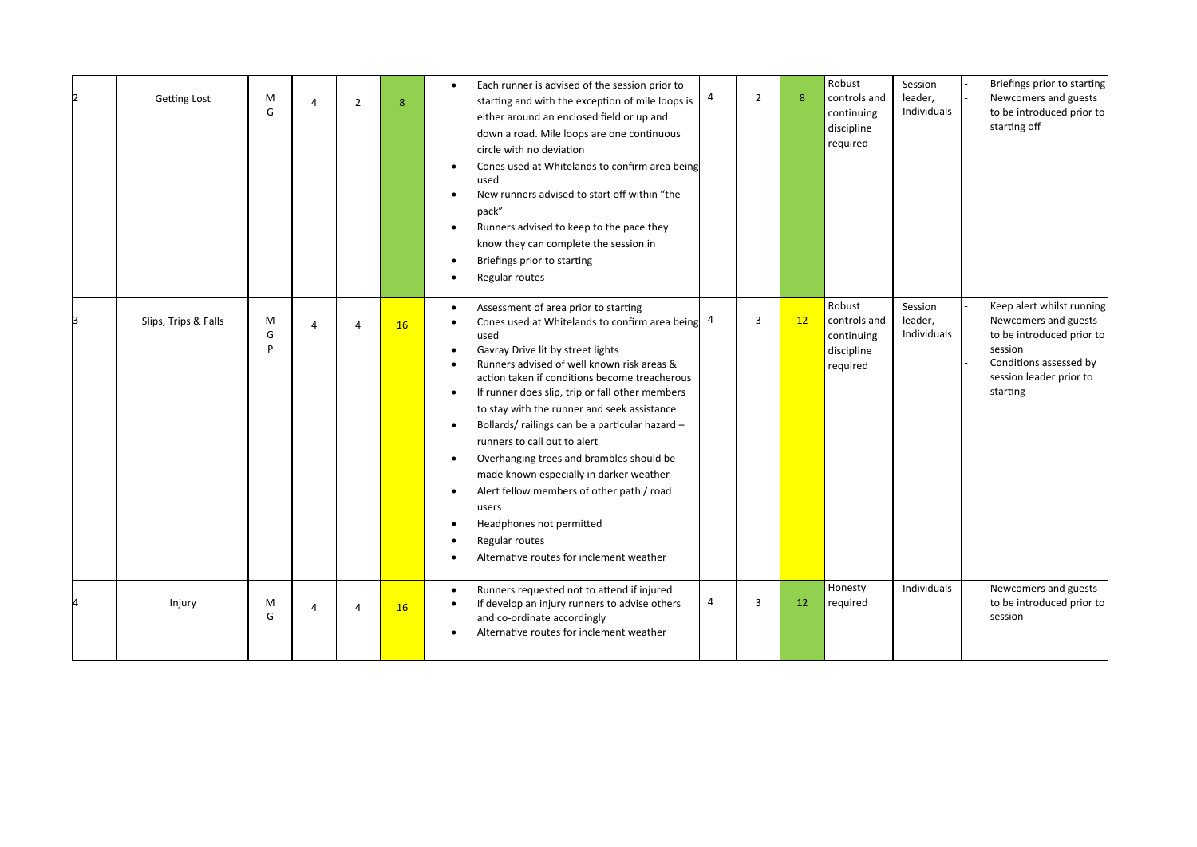| Getting Lost         | М<br>G      | $\Delta$       | $\overline{2}$ | 8         | Each runner is advised of the session prior to<br>$\bullet$<br>starting and with the exception of mile loops is<br>either around an enclosed field or up and<br>down a road. Mile loops are one continuous<br>circle with no deviation<br>Cones used at Whitelands to confirm area being<br>used<br>New runners advised to start off within "the<br>$\bullet$<br>pack"<br>Runners advised to keep to the pace they<br>$\bullet$<br>know they can complete the session in<br>Briefings prior to starting<br>$\bullet$<br>Regular routes                                                                                                                                                                                                        | 4 | $\overline{2}$ | 8  | Robust<br>controls and<br>continuing<br>discipline<br>required | Session<br>leader,<br>Individuals | Briefings prior to starting<br>Newcomers and guests<br>to be introduced prior to<br>starting off                                                           |
|----------------------|-------------|----------------|----------------|-----------|-----------------------------------------------------------------------------------------------------------------------------------------------------------------------------------------------------------------------------------------------------------------------------------------------------------------------------------------------------------------------------------------------------------------------------------------------------------------------------------------------------------------------------------------------------------------------------------------------------------------------------------------------------------------------------------------------------------------------------------------------|---|----------------|----|----------------------------------------------------------------|-----------------------------------|------------------------------------------------------------------------------------------------------------------------------------------------------------|
| Slips, Trips & Falls | М<br>G<br>P | $\overline{4}$ | $\overline{4}$ | <b>16</b> | Assessment of area prior to starting<br>$\bullet$<br>Cones used at Whitelands to confirm area being 4<br>used<br>Gavray Drive lit by street lights<br>$\bullet$<br>Runners advised of well known risk areas &<br>action taken if conditions become treacherous<br>If runner does slip, trip or fall other members<br>$\bullet$<br>to stay with the runner and seek assistance<br>Bollards/railings can be a particular hazard -<br>$\bullet$<br>runners to call out to alert<br>Overhanging trees and brambles should be<br>$\bullet$<br>made known especially in darker weather<br>Alert fellow members of other path / road<br>$\bullet$<br>users<br>Headphones not permitted<br>Regular routes<br>Alternative routes for inclement weather |   | 3              | 12 | Robust<br>controls and<br>continuing<br>discipline<br>required | Session<br>leader,<br>Individuals | Keep alert whilst running<br>Newcomers and guests<br>to be introduced prior to<br>session<br>Conditions assessed by<br>session leader prior to<br>starting |
| Injury               | М<br>G      | $\Delta$       | $\overline{4}$ | <b>16</b> | Runners requested not to attend if injured<br>$\bullet$<br>If develop an injury runners to advise others<br>and co-ordinate accordingly<br>Alternative routes for inclement weather                                                                                                                                                                                                                                                                                                                                                                                                                                                                                                                                                           | 4 | 3              | 12 | Honesty<br>required                                            | Individuals                       | Newcomers and guests<br>to be introduced prior to<br>session                                                                                               |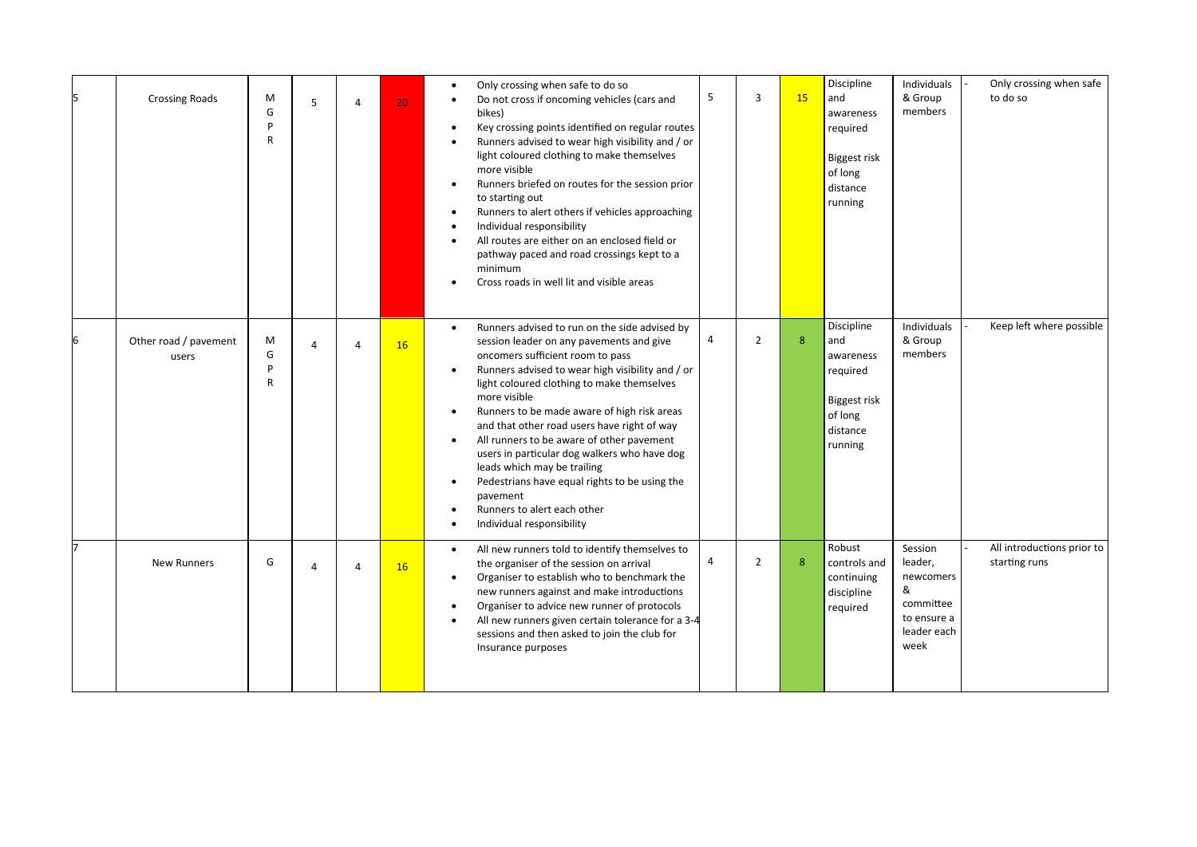| <b>Crossing Roads</b>          | M<br>G<br>P<br>R | 5              | $\overline{a}$ | 20 | Only crossing when safe to do so<br>$\bullet$<br>Do not cross if oncoming vehicles (cars and<br>bikes)<br>Key crossing points identified on regular routes<br>Runners advised to wear high visibility and / or<br>light coloured clothing to make themselves<br>more visible<br>Runners briefed on routes for the session prior<br>$\bullet$<br>to starting out<br>Runners to alert others if vehicles approaching<br>$\bullet$<br>Individual responsibility<br>All routes are either on an enclosed field or<br>$\bullet$<br>pathway paced and road crossings kept to a<br>minimum<br>Cross roads in well lit and visible areas<br>$\bullet$                                    | 5 | 3              | 15 | Discipline<br>and<br>awareness<br>required<br>Biggest risk<br>of long<br>distance<br>running | Individuals<br>& Group<br>members                                                       | Only crossing when safe<br>to do so         |
|--------------------------------|------------------|----------------|----------------|----|----------------------------------------------------------------------------------------------------------------------------------------------------------------------------------------------------------------------------------------------------------------------------------------------------------------------------------------------------------------------------------------------------------------------------------------------------------------------------------------------------------------------------------------------------------------------------------------------------------------------------------------------------------------------------------|---|----------------|----|----------------------------------------------------------------------------------------------|-----------------------------------------------------------------------------------------|---------------------------------------------|
| Other road / pavement<br>users | M<br>G<br>P<br>R | 4              | $\overline{4}$ | 16 | Runners advised to run on the side advised by<br>$\bullet$<br>session leader on any pavements and give<br>oncomers sufficient room to pass<br>Runners advised to wear high visibility and / or<br>light coloured clothing to make themselves<br>more visible<br>Runners to be made aware of high risk areas<br>$\bullet$<br>and that other road users have right of way<br>All runners to be aware of other pavement<br>$\bullet$<br>users in particular dog walkers who have dog<br>leads which may be trailing<br>Pedestrians have equal rights to be using the<br>$\bullet$<br>pavement<br>Runners to alert each other<br>$\bullet$<br>Individual responsibility<br>$\bullet$ | 4 | $\overline{2}$ | 8  | Discipline<br>and<br>awareness<br>required<br>Biggest risk<br>of long<br>distance<br>running | Individuals<br>& Group<br>members                                                       | Keep left where possible                    |
| <b>New Runners</b>             | G                | $\overline{a}$ | $\overline{a}$ | 16 | All new runners told to identify themselves to<br>$\bullet$<br>the organiser of the session on arrival<br>Organiser to establish who to benchmark the<br>$\bullet$<br>new runners against and make introductions<br>Organiser to advice new runner of protocols<br>$\bullet$<br>All new runners given certain tolerance for a 3-4<br>$\bullet$<br>sessions and then asked to join the club for<br>Insurance purposes                                                                                                                                                                                                                                                             | 4 | $\overline{2}$ | 8  | Robust<br>controls and<br>continuing<br>discipline<br>required                               | Session<br>leader,<br>newcomers<br>&<br>committee<br>to ensure a<br>leader each<br>week | All introductions prior to<br>starting runs |